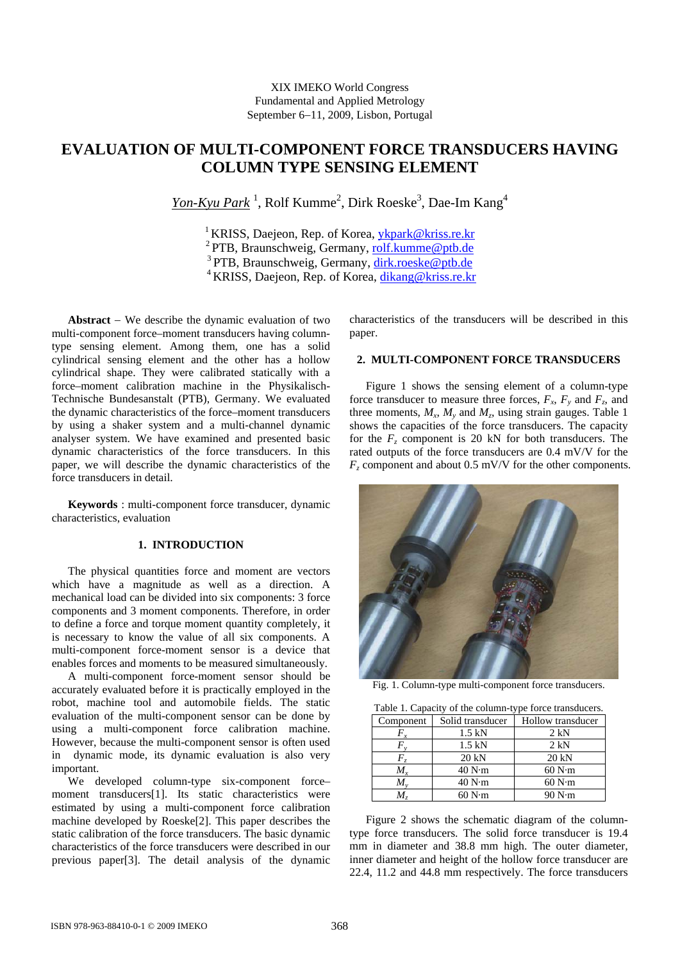## XIX IMEKO World Congress Fundamental and Applied Metrology September 6−11, 2009, Lisbon, Portugal

# **EVALUATION OF MULTI-COMPONENT FORCE TRANSDUCERS HAVING COLUMN TYPE SENSING ELEMENT**

*Yon-Kyu Park* <sup>1</sup> , Rolf Kumme<sup>2</sup> , Dirk Roeske<sup>3</sup> , Dae-Im Kang4

<sup>1</sup> KRISS, Daejeon, Rep. of Korea, ykpark@kriss.re.kr <sup>2</sup> PTB, Braunschweig, Germany, rolf.kumme@ptb.de 3 PTB, Braunschweig, Germany, dirk.roeske@ptb.de <sup>4</sup> KRISS, Daejeon, Rep. of Korea, dikang@kriss.re.kr

**Abstract** − We describe the dynamic evaluation of two multi-component force–moment transducers having columntype sensing element. Among them, one has a solid cylindrical sensing element and the other has a hollow cylindrical shape. They were calibrated statically with a force–moment calibration machine in the Physikalisch-Technische Bundesanstalt (PTB), Germany. We evaluated the dynamic characteristics of the force–moment transducers by using a shaker system and a multi-channel dynamic analyser system. We have examined and presented basic dynamic characteristics of the force transducers. In this paper, we will describe the dynamic characteristics of the force transducers in detail.

**Keywords** : multi-component force transducer, dynamic characteristics, evaluation

### **1. INTRODUCTION**

The physical quantities force and moment are vectors which have a magnitude as well as a direction. A mechanical load can be divided into six components: 3 force components and 3 moment components. Therefore, in order to define a force and torque moment quantity completely, it is necessary to know the value of all six components. A multi-component force-moment sensor is a device that enables forces and moments to be measured simultaneously.

A multi-component force-moment sensor should be accurately evaluated before it is practically employed in the robot, machine tool and automobile fields. The static evaluation of the multi-component sensor can be done by using a multi-component force calibration machine. However, because the multi-component sensor is often used in dynamic mode, its dynamic evaluation is also very important.

We developed column-type six-component force– moment transducers[1]. Its static characteristics were estimated by using a multi-component force calibration machine developed by Roeske[2]. This paper describes the static calibration of the force transducers. The basic dynamic characteristics of the force transducers were described in our previous paper[3]. The detail analysis of the dynamic characteristics of the transducers will be described in this paper.

## **2. MULTI-COMPONENT FORCE TRANSDUCERS**

Figure 1 shows the sensing element of a column-type force transducer to measure three forces,  $F_x$ ,  $F_y$  and  $F_z$ , and three moments,  $M_x$ ,  $M_y$  and  $M_z$ , using strain gauges. Table 1 shows the capacities of the force transducers. The capacity for the  $F<sub>z</sub>$  component is 20 kN for both transducers. The rated outputs of the force transducers are 0.4 mV/V for the  $F<sub>z</sub>$  component and about 0.5 mV/V for the other components.



Fig. 1. Column-type multi-component force transducers.

| Table 1. Capacity of the column-type force transducers. |                  |                   |  |  |  |  |  |
|---------------------------------------------------------|------------------|-------------------|--|--|--|--|--|
| Component                                               | Solid transducer | Hollow transducer |  |  |  |  |  |
| $F_{\rm r}$                                             | $1.5$ kN         | $2$ kN            |  |  |  |  |  |
|                                                         | $1.5$ kN         | $2$ kN            |  |  |  |  |  |
|                                                         | 20 kN            | 20 kN             |  |  |  |  |  |
| $M_{\rm r}$                                             | 40 N·m           | 60 N·m            |  |  |  |  |  |
| $M_{\rm v}$                                             | 40 N·m           | 60 N·m            |  |  |  |  |  |
| М.                                                      | 60 N·m           | 90 N·m            |  |  |  |  |  |

Figure 2 shows the schematic diagram of the columntype force transducers. The solid force transducer is 19.4 mm in diameter and 38.8 mm high. The outer diameter, inner diameter and height of the hollow force transducer are 22.4, 11.2 and 44.8 mm respectively. The force transducers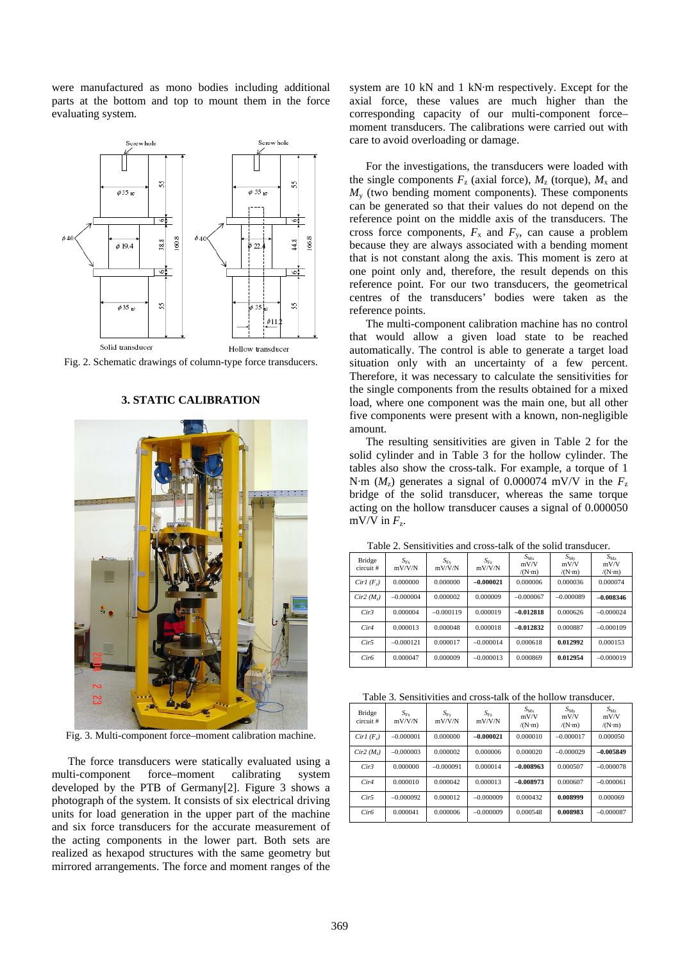were manufactured as mono bodies including additional parts at the bottom and top to mount them in the force evaluating system.



Fig. 2. Schematic drawings of column-type force transducers.

**3. STATIC CALIBRATION** 



Fig. 3. Multi-component force–moment calibration machine.

The force transducers were statically evaluated using a multi-component force–moment calibrating system developed by the PTB of Germany[2]. Figure 3 shows a photograph of the system. It consists of six electrical driving units for load generation in the upper part of the machine and six force transducers for the accurate measurement of the acting components in the lower part. Both sets are realized as hexapod structures with the same geometry but mirrored arrangements. The force and moment ranges of the

system are 10 kN and 1 kN·m respectively. Except for the axial force, these values are much higher than the corresponding capacity of our multi-component force– moment transducers. The calibrations were carried out with care to avoid overloading or damage.

For the investigations, the transducers were loaded with the single components  $F_z$  (axial force),  $M_z$  (torque),  $M_x$  and  $M_{v}$  (two bending moment components). These components can be generated so that their values do not depend on the reference point on the middle axis of the transducers. The cross force components,  $F_x$  and  $F_y$ , can cause a problem because they are always associated with a bending moment that is not constant along the axis. This moment is zero at one point only and, therefore, the result depends on this reference point. For our two transducers, the geometrical centres of the transducers' bodies were taken as the reference points.

The multi-component calibration machine has no control that would allow a given load state to be reached automatically. The control is able to generate a target load situation only with an uncertainty of a few percent. Therefore, it was necessary to calculate the sensitivities for the single components from the results obtained for a mixed load, where one component was the main one, but all other five components were present with a known, non-negligible amount.

The resulting sensitivities are given in Table 2 for the solid cylinder and in Table 3 for the hollow cylinder. The tables also show the cross-talk. For example, a torque of 1 N·m  $(M<sub>z</sub>)$  generates a signal of 0.000074 mV/V in the  $F<sub>z</sub>$ bridge of the solid transducer, whereas the same torque acting on the hollow transducer causes a signal of 0.000050 mV/V in  $F_z$ .

| Bridge<br>circuit#    | $S_{\text{Fx}}$<br>mV/V/N | $S_{\rm Fv}$<br>mV/V/N | $S_{Fz}$<br>mV/V/N | $S_{\rm Mx}$<br>mV/V<br>$/(N \cdot m)$ | $S_{\rm My}$<br>mV/V<br>$/(N \cdot m)$ | $S_{\rm Mz}$<br>mV/V<br>$/(N \cdot m)$ |
|-----------------------|---------------------------|------------------------|--------------------|----------------------------------------|----------------------------------------|----------------------------------------|
| Cirl(F <sub>z</sub> ) | 0.000000                  | 0.000000               | $-0.000021$        | 0.000006                               | 0.000036                               | 0.000074                               |
| Cir2(M, )             | $-0.000004$               | 0.000002               | 0.000009           | $-0.000067$                            | $-0.000089$                            | $-0.008346$                            |
| Cir3                  | 0.000004                  | $-0.000119$            | 0.000019           | $-0.012818$                            | 0.000626                               | $-0.000024$                            |
| Cir4                  | 0.000013                  | 0.000048               | 0.000018           | $-0.012832$                            | 0.000887                               | $-0.000109$                            |
| Cir5                  | $-0.000121$               | 0.000017               | $-0.000014$        | 0.000618                               | 0.012992                               | 0.000153                               |
| Cir <sub>6</sub>      | 0.000047                  | 0.000009               | $-0.000013$        | 0.000869                               | 0.012954                               | $-0.000019$                            |

Table 2. Sensitivities and cross-talk of the solid transducer.

Table 3. Sensitivities and cross-talk of the hollow transducer.

| Bridge<br>circuit#    | $S_{\text{Fx}}$<br>mV/V/N | $S_{\rm Fv}$<br>mV/V/N | $S_{\text{Fz}}$<br>mV/V/N | $S_{\rm Mx}$<br>mV/V<br>$/(N \cdot m)$ | $S_{\rm Mv}$<br>mV/V<br>$/(N \cdot m)$ | $S_{\rm Mz}$<br>mV/V<br>$/(N \cdot m)$ |
|-----------------------|---------------------------|------------------------|---------------------------|----------------------------------------|----------------------------------------|----------------------------------------|
| Cirl(F, )             | $-0.000001$               | 0.000000               | $-0.000021$               | 0.000010                               | $-0.000017$                            | 0.000050                               |
| Cir2(M <sub>2</sub> ) | $-0.000003$               | 0.000002               | 0.000006                  | 0.000020                               | $-0.000029$                            | $-0.005849$                            |
| Cir3                  | 0.000000                  | $-0.000091$            | 0.000014                  | $-0.008963$                            | 0.000507                               | $-0.000078$                            |
| Cir4                  | 0.000010                  | 0.000042               | 0.000013                  | $-0.008973$                            | 0.000607                               | $-0.000061$                            |
| Cir5                  | $-0.000092$               | 0.000012               | $-0.000009$               | 0.000432                               | 0.008999                               | 0.000069                               |
| Cir6                  | 0.000041                  | 0.000006               | $-0.000009$               | 0.000548                               | 0.008983                               | $-0.000087$                            |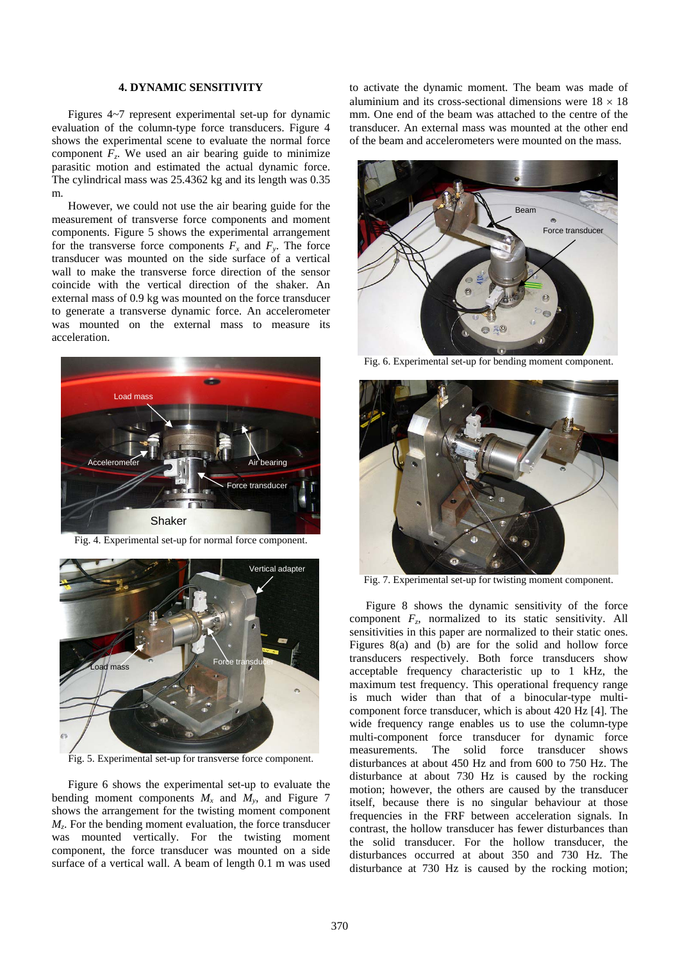#### **4. DYNAMIC SENSITIVITY**

Figures 4~7 represent experimental set-up for dynamic evaluation of the column-type force transducers. Figure 4 shows the experimental scene to evaluate the normal force component  $F_z$ . We used an air bearing guide to minimize parasitic motion and estimated the actual dynamic force. The cylindrical mass was 25.4362 kg and its length was 0.35 m.

However, we could not use the air bearing guide for the measurement of transverse force components and moment components. Figure 5 shows the experimental arrangement for the transverse force components  $F_x$  and  $F_y$ . The force transducer was mounted on the side surface of a vertical wall to make the transverse force direction of the sensor coincide with the vertical direction of the shaker. An external mass of 0.9 kg was mounted on the force transducer to generate a transverse dynamic force. An accelerometer was mounted on the external mass to measure its acceleration.



Fig. 4. Experimental set-up for normal force component.



Fig. 5. Experimental set-up for transverse force component.

Figure 6 shows the experimental set-up to evaluate the bending moment components  $M_x$  and  $M_y$ , and Figure 7 shows the arrangement for the twisting moment component *M<sub>z</sub>*. For the bending moment evaluation, the force transducer was mounted vertically. For the twisting moment component, the force transducer was mounted on a side surface of a vertical wall. A beam of length 0.1 m was used to activate the dynamic moment. The beam was made of aluminium and its cross-sectional dimensions were  $18 \times 18$ mm. One end of the beam was attached to the centre of the transducer. An external mass was mounted at the other end of the beam and accelerometers were mounted on the mass.



Fig. 6. Experimental set-up for bending moment component.



Fig. 7. Experimental set-up for twisting moment component.

Figure 8 shows the dynamic sensitivity of the force component  $F_z$ , normalized to its static sensitivity. All sensitivities in this paper are normalized to their static ones. Figures 8(a) and (b) are for the solid and hollow force transducers respectively. Both force transducers show acceptable frequency characteristic up to 1 kHz, the maximum test frequency. This operational frequency range is much wider than that of a binocular-type multicomponent force transducer, which is about 420 Hz [4]. The wide frequency range enables us to use the column-type multi-component force transducer for dynamic force measurements. The solid force transducer shows disturbances at about 450 Hz and from 600 to 750 Hz. The disturbance at about 730 Hz is caused by the rocking motion; however, the others are caused by the transducer itself, because there is no singular behaviour at those frequencies in the FRF between acceleration signals. In contrast, the hollow transducer has fewer disturbances than the solid transducer. For the hollow transducer, the disturbances occurred at about 350 and 730 Hz. The disturbance at 730 Hz is caused by the rocking motion;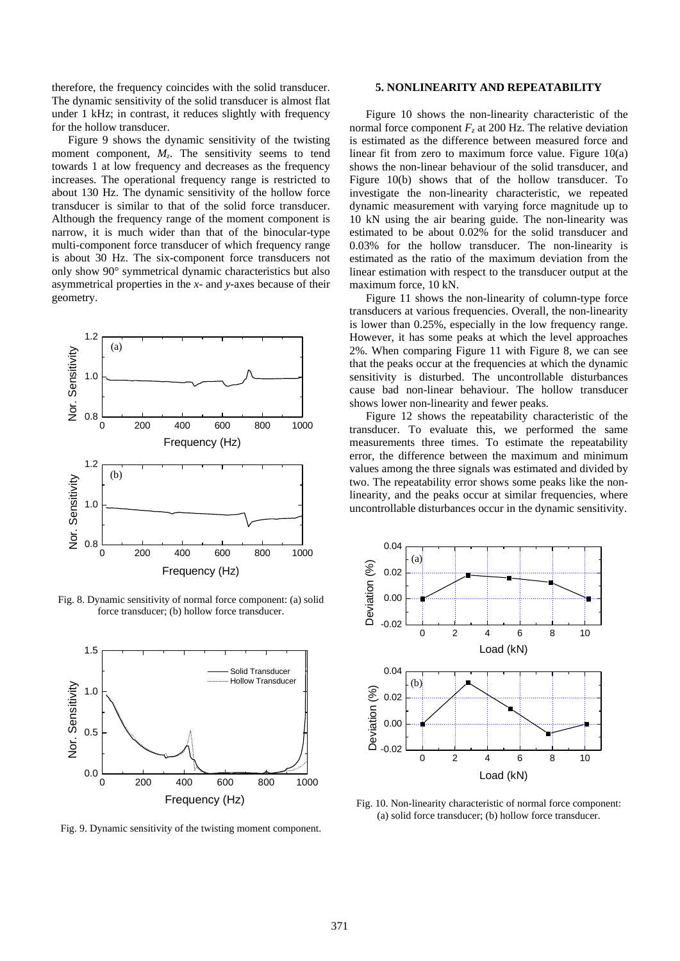therefore, the frequency coincides with the solid transducer. The dynamic sensitivity of the solid transducer is almost flat under 1 kHz; in contrast, it reduces slightly with frequency for the hollow transducer.

Figure 9 shows the dynamic sensitivity of the twisting moment component,  $M_z$ . The sensitivity seems to tend towards 1 at low frequency and decreases as the frequency increases. The operational frequency range is restricted to about 130 Hz. The dynamic sensitivity of the hollow force transducer is similar to that of the solid force transducer. Although the frequency range of the moment component is narrow, it is much wider than that of the binocular-type multi-component force transducer of which frequency range is about 30 Hz. The six-component force transducers not only show 90° symmetrical dynamic characteristics but also asymmetrical properties in the *x*- and *y*-axes because of their geometry.



Fig. 8. Dynamic sensitivity of normal force component: (a) solid force transducer; (b) hollow force transducer.



Fig. 9. Dynamic sensitivity of the twisting moment component.

### **5. NONLINEARITY AND REPEATABILITY**

Figure 10 shows the non-linearity characteristic of the normal force component  $F<sub>z</sub>$  at 200 Hz. The relative deviation is estimated as the difference between measured force and linear fit from zero to maximum force value. Figure 10(a) shows the non-linear behaviour of the solid transducer, and Figure 10(b) shows that of the hollow transducer. To investigate the non-linearity characteristic, we repeated dynamic measurement with varying force magnitude up to 10 kN using the air bearing guide. The non-linearity was estimated to be about 0.02% for the solid transducer and 0.03% for the hollow transducer. The non-linearity is estimated as the ratio of the maximum deviation from the linear estimation with respect to the transducer output at the maximum force, 10 kN.

Figure 11 shows the non-linearity of column-type force transducers at various frequencies. Overall, the non-linearity is lower than 0.25%, especially in the low frequency range. However, it has some peaks at which the level approaches 2%. When comparing Figure 11 with Figure 8, we can see that the peaks occur at the frequencies at which the dynamic sensitivity is disturbed. The uncontrollable disturbances cause bad non-linear behaviour. The hollow transducer shows lower non-linearity and fewer peaks.

Figure 12 shows the repeatability characteristic of the transducer. To evaluate this, we performed the same measurements three times. To estimate the repeatability error, the difference between the maximum and minimum values among the three signals was estimated and divided by two. The repeatability error shows some peaks like the nonlinearity, and the peaks occur at similar frequencies, where uncontrollable disturbances occur in the dynamic sensitivity.



Fig. 10. Non-linearity characteristic of normal force component: (a) solid force transducer; (b) hollow force transducer.